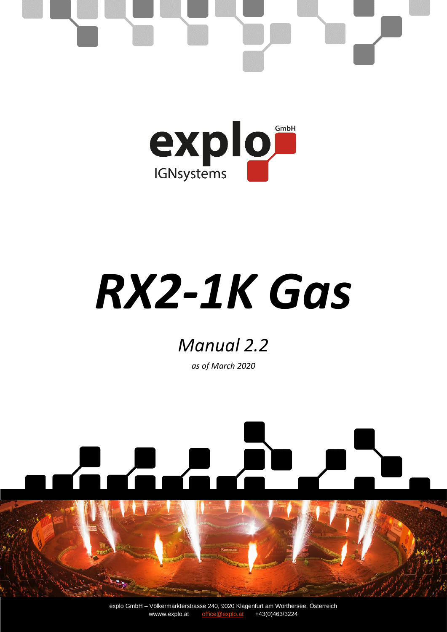

# *RX2-1K Gas*

### *Manual 2.2*

*as of March 2020*

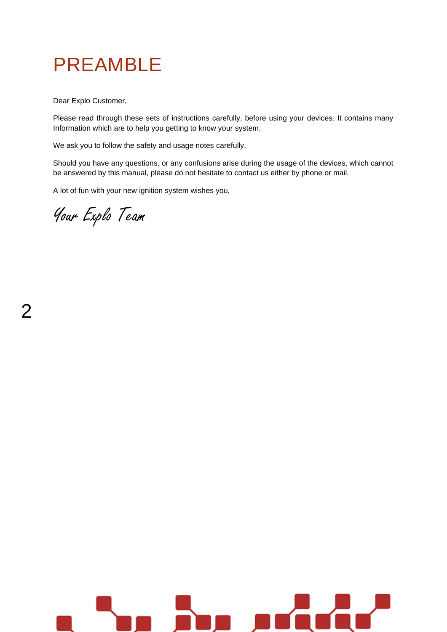## PREAMBLE

Dear Explo Customer,

Please read through these sets of instructions carefully, before using your devices. It contains many Information which are to help you getting to know your system.

We ask you to follow the safety and usage notes carefully.

Should you have any questions, or any confusions arise during the usage of the devices, which cannot be answered by this manual, please do not hesitate to contact us either by phone or mail.

A lot of fun with your new ignition system wishes you,

Your Explo Team

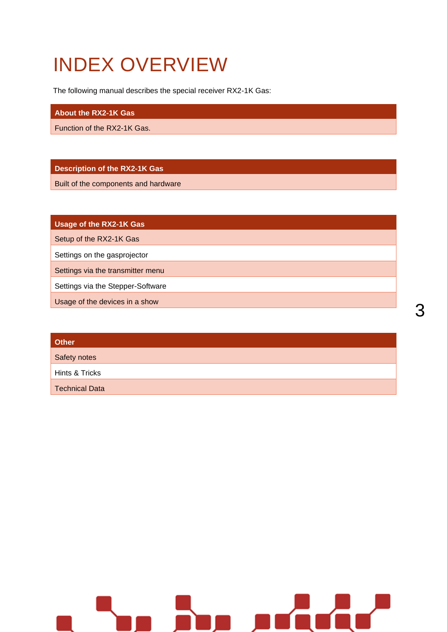# INDEX OVERVIEW

The following manual describes the special receiver RX2-1K Gas:

#### **About the RX2-1K Gas**

Function of the RX2-1K Gas.

#### **Description of the RX2-1K Gas**

Built of the components and hardware

**Usage of the RX2-1K Gas**

Setup of the RX2-1K Gas

Settings on the gasprojector

Settings via the transmitter menu

Settings via the Stepper-Software

Usage of the devices in a show

| <b>Other</b>          |  |  |  |
|-----------------------|--|--|--|
| Safety notes          |  |  |  |
| Hints & Tricks        |  |  |  |
| <b>Technical Data</b> |  |  |  |

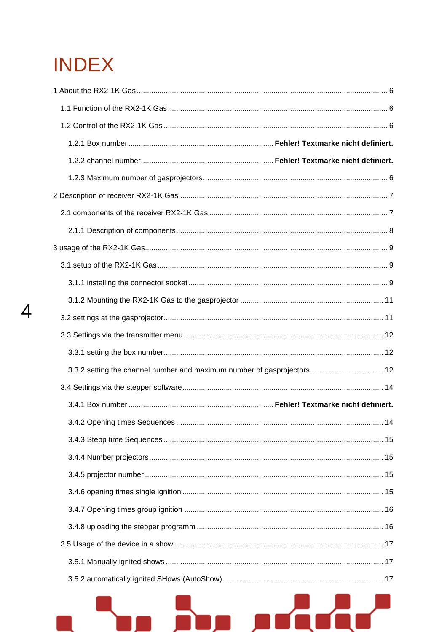# **INDEX**

 $\overline{4}$ 

| 3.3.2 setting the channel number and maximum number of gasprojectors  12 |  |
|--------------------------------------------------------------------------|--|
|                                                                          |  |
|                                                                          |  |
|                                                                          |  |
|                                                                          |  |
|                                                                          |  |
|                                                                          |  |
|                                                                          |  |
|                                                                          |  |
|                                                                          |  |
|                                                                          |  |
|                                                                          |  |
|                                                                          |  |
|                                                                          |  |

Щ

m.

ш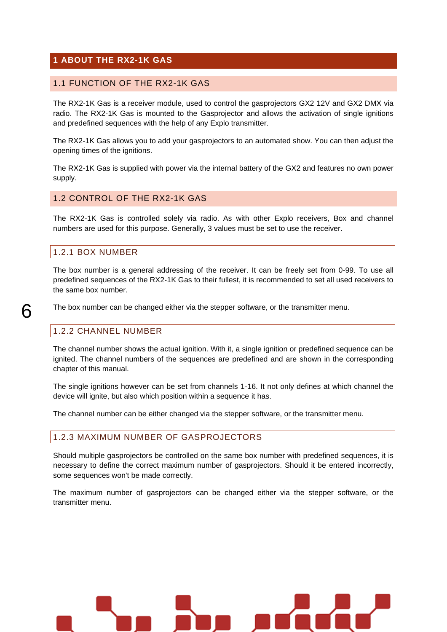#### <span id="page-5-0"></span>**1 ABOUT THE RX2-1K GAS**

#### <span id="page-5-1"></span>1.1 FUNCTION OF THE RX2-1K GAS

The RX2-1K Gas is a receiver module, used to control the gasprojectors GX2 12V and GX2 DMX via radio. The RX2-1K Gas is mounted to the Gasprojector and allows the activation of single ignitions and predefined sequences with the help of any Explo transmitter.

The RX2-1K Gas allows you to add your gasprojectors to an automated show. You can then adjust the opening times of the ignitions.

The RX2-1K Gas is supplied with power via the internal battery of the GX2 and features no own power supply.

#### <span id="page-5-2"></span>1.2 CONTROL OF THE RX2-1K GAS

The RX2-1K Gas is controlled solely via radio. As with other Explo receivers, Box and channel numbers are used for this purpose. Generally, 3 values must be set to use the receiver.

#### 1.2.1 BOX NUMBER

The box number is a general addressing of the receiver. It can be freely set from 0-99. To use all predefined sequences of the RX2-1K Gas to their fullest, it is recommended to set all used receivers to the same box number.

The box number can be changed either via the stepper software, or the transmitter menu.

#### 1.2.2 CHANNEL NUMBER

The channel number shows the actual ignition. With it, a single ignition or predefined sequence can be ignited. The channel numbers of the sequences are predefined and are shown in the corresponding chapter of this manual.

The single ignitions however can be set from channels 1-16. It not only defines at which channel the device will ignite, but also which position within a sequence it has.

The channel number can be either changed via the stepper software, or the transmitter menu.

#### <span id="page-5-3"></span>1.2.3 MAXIMUM NUMBER OF GASPROJECTORS

Should multiple gasprojectors be controlled on the same box number with predefined sequences, it is necessary to define the correct maximum number of gasprojectors. Should it be entered incorrectly, some sequences won't be made correctly.

The maximum number of gasprojectors can be changed either via the stepper software, or the transmitter menu.

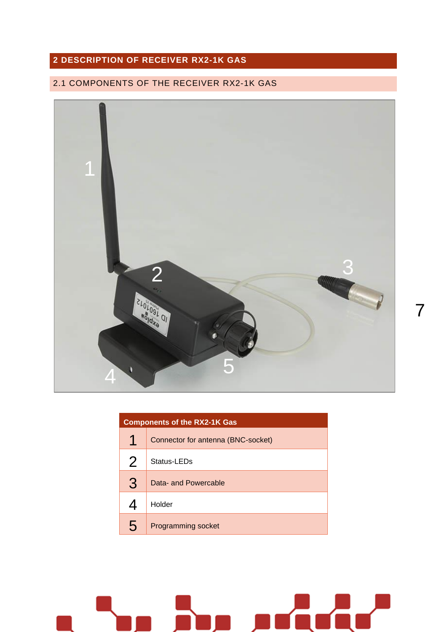### <span id="page-6-0"></span>**DESCRIPTION OF RECEIVER RX2-1K GAS**

### <span id="page-6-1"></span>2.1 COMPONENTS OF THE RECEIVER RX2-1K GAS



| <b>Components of the RX2-1K Gas</b> |                                    |  |
|-------------------------------------|------------------------------------|--|
| 1                                   | Connector for antenna (BNC-socket) |  |
| $\overline{2}$                      | Status-LEDs                        |  |
| 3                                   | Data- and Powercable               |  |
| 4                                   | Holder                             |  |
| 5                                   | <b>Programming socket</b>          |  |

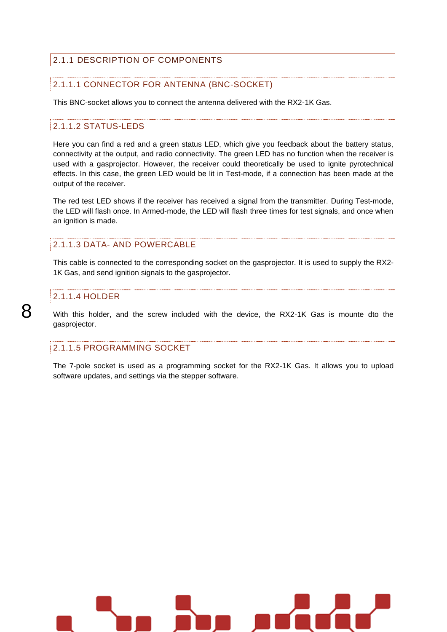#### <span id="page-7-0"></span>2.1.1 DESCRIPTION OF COMPONENTS

#### 2.1.1.1 CONNECTOR FOR ANTENNA (BNC-SOCKET)

This BNC-socket allows you to connect the antenna delivered with the RX2-1K Gas.

#### 2.1.1.2 STATUS-LEDS

Here you can find a red and a green status LED, which give you feedback about the battery status, connectivity at the output, and radio connectivity. The green LED has no function when the receiver is used with a gasprojector. However, the receiver could theoretically be used to ignite pyrotechnical effects. In this case, the green LED would be lit in Test-mode, if a connection has been made at the output of the receiver.

The red test LED shows if the receiver has received a signal from the transmitter. During Test-mode, the LED will flash once. In Armed-mode, the LED will flash three times for test signals, and once when an ignition is made.

#### 2.1.1.3 DATA- AND POWERCABLE

This cable is connected to the corresponding socket on the gasprojector. It is used to supply the RX2- 1K Gas, and send ignition signals to the gasprojector.

#### 2.1.1.4 HOLDER

8

With this holder, and the screw included with the device, the RX2-1K Gas is mounte dto the gasprojector.

#### 2.1.1.5 PROGRAMMING SOCKET

The 7-pole socket is used as a programming socket for the RX2-1K Gas. It allows you to upload software updates, and settings via the stepper software.

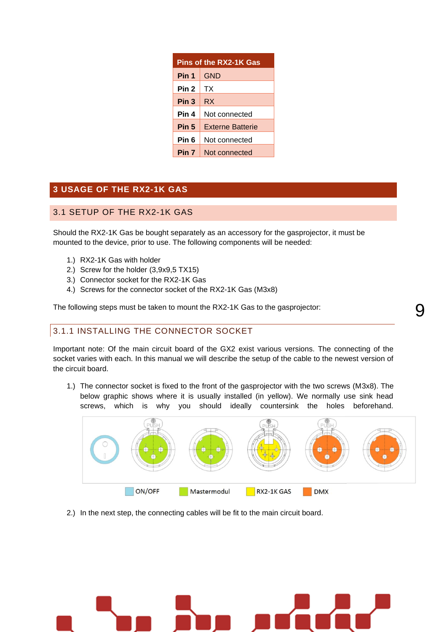| <b>Pins of the RX2-1K Gas</b> |                         |  |
|-------------------------------|-------------------------|--|
| Pin 1                         | <b>GND</b>              |  |
| Pin 2                         | ТX                      |  |
| Pin <sub>3</sub>              | RX                      |  |
| Pin 4                         | Not connected           |  |
| Pin 5                         | <b>Externe Batterie</b> |  |
| Pin 6                         | Not connected           |  |
| Pin <sub>7</sub>              | Not connected           |  |

#### <span id="page-8-0"></span>**3 USAGE OF THE RX2-1K GAS**

#### <span id="page-8-1"></span>3.1 SETUP OF THE RX2-1K GAS

Should the RX2-1K Gas be bought separately as an accessory for the gasprojector, it must be mounted to the device, prior to use. The following components will be needed:

- 1.) RX2-1K Gas with holder
- 2.) Screw for the holder (3,9x9,5 TX15)
- 3.) Connector socket for the RX2-1K Gas
- 4.) Screws for the connector socket of the RX2-1K Gas (M3x8)

The following steps must be taken to mount the RX2-1K Gas to the gasprojector:

#### <span id="page-8-2"></span>3.1.1 INSTALLING THE CONNECTOR SOCKET

Important note: Of the main circuit board of the GX2 exist various versions. The connecting of the socket varies with each. In this manual we will describe the setup of the cable to the newest version of the circuit board.

1.) The connector socket is fixed to the front of the gasprojector with the two screws (M3x8). The below graphic shows where it is usually installed (in yellow). We normally use sink head screws, which is why you should ideally countersink the holes beforehand.



2.) In the next step, the connecting cables will be fit to the main circuit board.



<u>Q</u>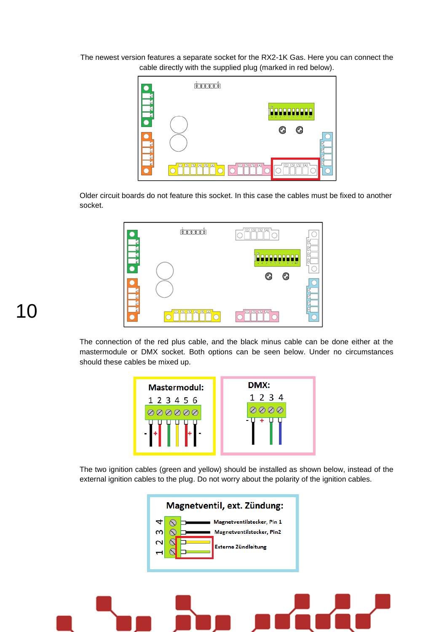The newest version features a separate socket for the RX2-1K Gas. Here you can connect the cable directly with the supplied plug (marked in red below).



Older circuit boards do not feature this socket. In this case the cables must be fixed to another socket.



The connection of the red plus cable, and the black minus cable can be done either at the mastermodule or DMX socket. Both options can be seen below. Under no circumstances should these cables be mixed up.

| <b>Mastermodul:</b><br>1 2 3 4 5 6<br>いいい | DMX:<br>1 2 3 4 |
|-------------------------------------------|-----------------|
|                                           |                 |

The two ignition cables (green and yellow) should be installed as shown below, instead of the external ignition cables to the plug. Do not worry about the polarity of the ignition cables.



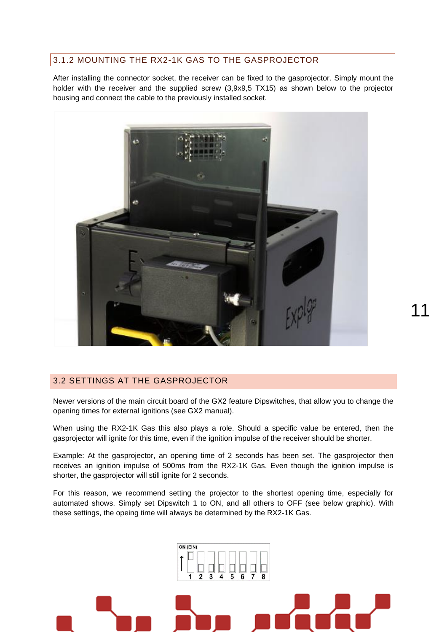#### <span id="page-10-0"></span>3.1.2 MOUNTING THE RX2-1K GAS TO THE GASPROJECTOR

After installing the connector socket, the receiver can be fixed to the gasprojector. Simply mount the holder with the receiver and the supplied screw (3,9x9,5 TX15) as shown below to the projector housing and connect the cable to the previously installed socket.



#### <span id="page-10-1"></span>3.2 SETTINGS AT THE GASPROJECTOR

Newer versions of the main circuit board of the GX2 feature Dipswitches, that allow you to change the opening times for external ignitions (see GX2 manual).

11

When using the RX2-1K Gas this also plays a role. Should a specific value be entered, then the gasprojector will ignite for this time, even if the ignition impulse of the receiver should be shorter.

Example: At the gasprojector, an opening time of 2 seconds has been set. The gasprojector then receives an ignition impulse of 500ms from the RX2-1K Gas. Even though the ignition impulse is shorter, the gasprojector will still ignite for 2 seconds.

For this reason, we recommend setting the projector to the shortest opening time, especially for automated shows. Simply set Dipswitch 1 to ON, and all others to OFF (see below graphic). With these settings, the opeing time will always be determined by the RX2-1K Gas.

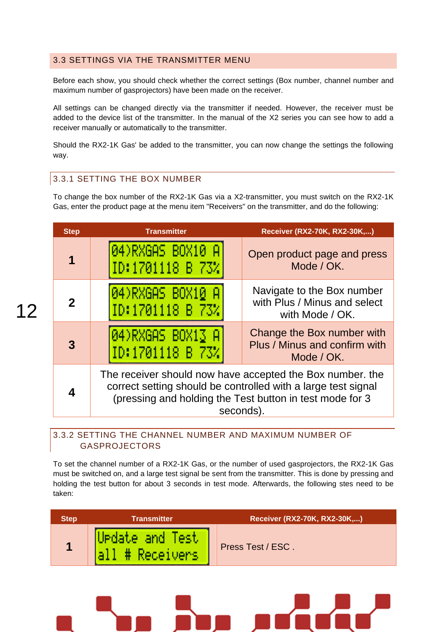#### <span id="page-11-0"></span>3.3 SETTINGS VIA THE TRANSMITTER MENU

Before each show, you should check whether the correct settings (Box number, channel number and maximum number of gasprojectors) have been made on the receiver.

All settings can be changed directly via the transmitter if needed. However, the receiver must be added to the device list of the transmitter. In the manual of the X2 series you can see how to add a receiver manually or automatically to the transmitter.

Should the RX2-1K Gas' be added to the transmitter, you can now change the settings the following way.

#### <span id="page-11-1"></span>3.3.1 SETTING THE BOX NUMBER

To change the box number of the RX2-1K Gas via a X2-transmitter, you must switch on the RX2-1K Gas, enter the product page at the menu item "Receivers" on the transmitter, and do the following:

| <b>Step</b> | <b>Transmitter</b>                                                                                                                                                                                  | Receiver (RX2-70K, RX2-30K,)                                                  |  |
|-------------|-----------------------------------------------------------------------------------------------------------------------------------------------------------------------------------------------------|-------------------------------------------------------------------------------|--|
| 1           | 04)RXGAS BOX10 A<br>ID:1701118 B 73%                                                                                                                                                                | Open product page and press<br>Mode / OK.                                     |  |
| 2           | 04)RXGAS BOX10 A<br>ID:1701118 B 73%                                                                                                                                                                | Navigate to the Box number<br>with Plus / Minus and select<br>with Mode / OK. |  |
| 3           | 04)RXGAS BOX13 A<br>ID:1701118 B 73%                                                                                                                                                                | Change the Box number with<br>Plus / Minus and confirm with<br>Mode / OK.     |  |
|             | The receiver should now have accepted the Box number, the<br>correct setting should be controlled with a large test signal<br>(pressing and holding the Test button in test mode for 3<br>seconds). |                                                                               |  |

<span id="page-11-2"></span>3.3.2 SETTING THE CHANNEL NUMBER AND MAXIMUM NUMBER OF GASPROJECTORS

To set the channel number of a RX2-1K Gas, or the number of used gasprojectors, the RX2-1K Gas must be switched on, and a large test signal be sent from the transmitter. This is done by pressing and holding the test button for about 3 seconds in test mode. Afterwards, the following stes need to be taken:

| <b>Step</b> | Transmitter                          | Receiver (RX2-70K, RX2-30K,) |
|-------------|--------------------------------------|------------------------------|
|             | Urdate and Test<br><b>\Receivers</b> | Press Test / ESC.            |

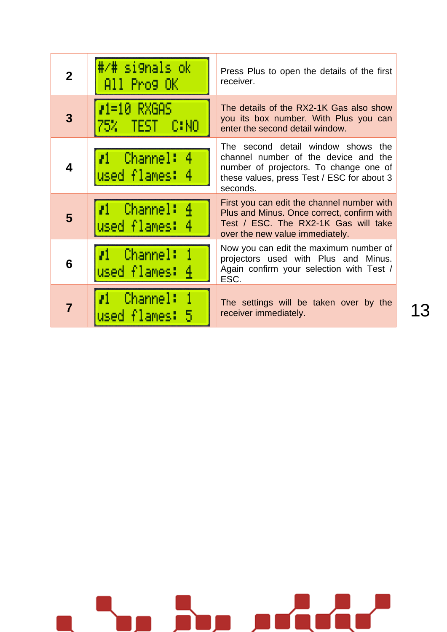| $\mathbf 2$ | #/# si9nals ok<br>All Prog OK               | Press Plus to open the details of the first<br>receiver.                                                                                                                       |
|-------------|---------------------------------------------|--------------------------------------------------------------------------------------------------------------------------------------------------------------------------------|
| 3           | $P1=10$ RXGAS<br>75% TEST C:NO              | The details of the RX2-1K Gas also show<br>you its box number. With Plus you can<br>enter the second detail window.                                                            |
| 4           | $\mathcal{I}1$ Channel: 4<br>used flames: 4 | The second detail window shows the<br>channel number of the device and the<br>number of projectors. To change one of<br>these values, press Test / ESC for about 3<br>seconds. |
| 5           | $11$ Channel: $4$<br>used flames: 4         | First you can edit the channel number with<br>Plus and Minus. Once correct, confirm with<br>Test / ESC. The RX2-1K Gas will take<br>over the new value immediately.            |
| 6           | <i>r</i> 1 Channel:<br>used flames: 4       | Now you can edit the maximum number of<br>projectors used with Plus and Minus.<br>Again confirm your selection with Test /<br>ESC.                                             |
| 7           | $\mathcal{U}$ Channel: 1<br>used flames: 5  | The settings will be taken over by the<br>receiver immediately.                                                                                                                |

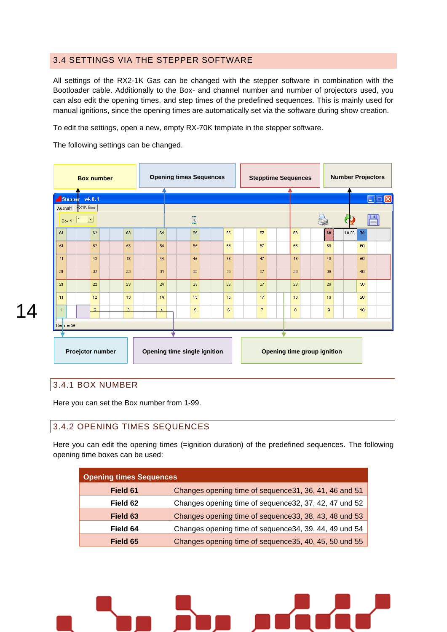#### <span id="page-13-0"></span>3.4 SETTINGS VIA THE STEPPER SOFTWARE

All settings of the RX2-1K Gas can be changed with the stepper software in combination with the Bootloader cable. Additionally to the Box- and channel number and number of projectors used, you can also edit the opening times, and step times of the predefined sequences. This is mainly used for manual ignitions, since the opening times are automatically set via the software during show creation.

To edit the settings, open a new, empty RX-70K template in the stepper software.

The following settings can be changed.



### 14

#### 3.4.1 BOX NUMBER

Here you can set the Box number from 1-99.

#### <span id="page-13-1"></span>3.4.2 OPENING TIMES SEQUENCES

Here you can edit the opening times (=ignition duration) of the predefined sequences. The following opening time boxes can be used:

| <b>Opening times Sequences</b> |                                                        |  |
|--------------------------------|--------------------------------------------------------|--|
| Field 61                       | Changes opening time of sequence 31, 36, 41, 46 and 51 |  |
| Field 62                       | Changes opening time of sequence 32, 37, 42, 47 und 52 |  |
| Field 63                       | Changes opening time of sequence 33, 38, 43, 48 und 53 |  |
| Field 64                       | Changes opening time of sequence 34, 39, 44, 49 und 54 |  |
| Field 65                       | Changes opening time of sequence 35, 40, 45, 50 und 55 |  |

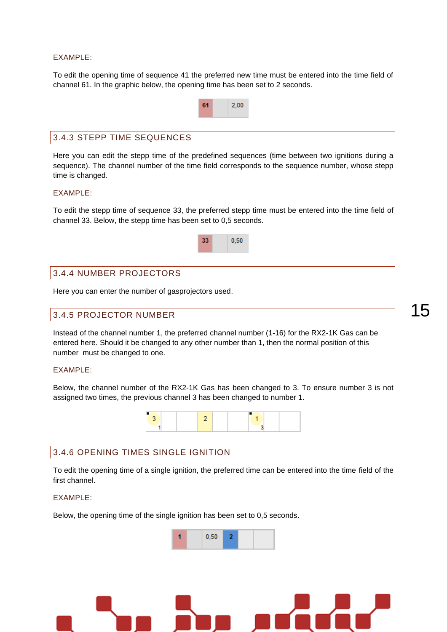#### EXAMPLE:

To edit the opening time of sequence 41 the preferred new time must be entered into the time field of channel 61. In the graphic below, the opening time has been set to 2 seconds.

|                            | 61 | 2.00 |
|----------------------------|----|------|
|                            |    |      |
| 3.4.3 STEPP TIME SEQUENCES |    |      |

<span id="page-14-0"></span>Here you can edit the stepp time of the predefined sequences (time between two ignitions during a sequence). The channel number of the time field corresponds to the sequence number, whose stepp time is changed.

#### EXAMPLE:

To edit the stepp time of sequence 33, the preferred stepp time must be entered into the time field of channel 33. Below, the stepp time has been set to 0,5 seconds.



#### <span id="page-14-1"></span>3.4.4 NUMBER PROJECTORS

Here you can enter the number of gasprojectors used.

#### <span id="page-14-2"></span>3.4.5 PROJECTOR NUMBER

Instead of the channel number 1, the preferred channel number (1-16) for the RX2-1K Gas can be entered here. Should it be changed to any other number than 1, then the normal position of this number must be changed to one.

#### EXAMPLE:

Below, the channel number of the RX2-1K Gas has been changed to 3. To ensure number 3 is not assigned two times, the previous channel 3 has been changed to number 1.



#### <span id="page-14-3"></span>3.4.6 OPENING TIMES SINGLE IGNITION

To edit the opening time of a single ignition, the preferred time can be entered into the time field of the first channel.

#### EXAMPLE:

Below, the opening time of the single ignition has been set to 0,5 seconds.



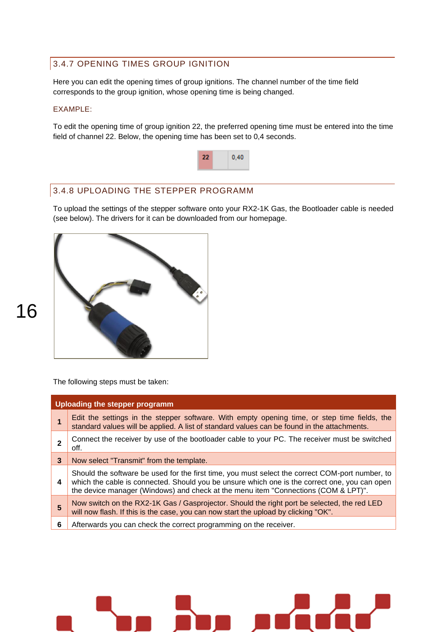### <span id="page-15-0"></span>3.4.7 OPENING TIMES GROUP IGNITION

Here you can edit the opening times of group ignitions. The channel number of the time field corresponds to the group ignition, whose opening time is being changed.

#### EXAMPLE:

To edit the opening time of group ignition 22, the preferred opening time must be entered into the time field of channel 22. Below, the opening time has been set to 0,4 seconds.



#### <span id="page-15-1"></span>3.4.8 UPLOADING THE STEPPER PROGRAMM

To upload the settings of the stepper software onto your RX2-1K Gas, the Bootloader cable is needed (see below). The drivers for it can be downloaded from our homepage.



The following steps must be taken:

|   | Uploading the stepper programm                                                                                                                                                                                                                                                         |
|---|----------------------------------------------------------------------------------------------------------------------------------------------------------------------------------------------------------------------------------------------------------------------------------------|
|   | Edit the settings in the stepper software. With empty opening time, or step time fields, the<br>standard values will be applied. A list of standard values can be found in the attachments.                                                                                            |
|   | Connect the receiver by use of the bootloader cable to your PC. The receiver must be switched<br>off.                                                                                                                                                                                  |
| 3 | Now select "Transmit" from the template.                                                                                                                                                                                                                                               |
| 4 | Should the software be used for the first time, you must select the correct COM-port number, to<br>which the cable is connected. Should you be unsure which one is the correct one, you can open<br>the device manager (Windows) and check at the menu item "Connections (COM & LPT)". |
| 5 | Now switch on the RX2-1K Gas / Gasprojector. Should the right port be selected, the red LED<br>will now flash. If this is the case, you can now start the upload by clicking "OK".                                                                                                     |
| 6 | Afterwards you can check the correct programming on the receiver.                                                                                                                                                                                                                      |
|   |                                                                                                                                                                                                                                                                                        |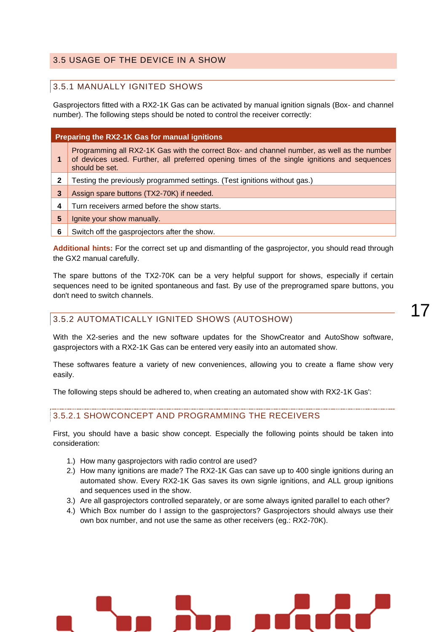#### <span id="page-16-0"></span>3.5 USAGE OF THE DEVICE IN A SHOW

#### <span id="page-16-1"></span>3.5.1 MANUALLY IGNITED SHOWS

Gasprojectors fitted with a RX2-1K Gas can be activated by manual ignition signals (Box- and channel number). The following steps should be noted to control the receiver correctly:

|   | Preparing the RX2-1K Gas for manual ignitions                                                                                                                                                               |
|---|-------------------------------------------------------------------------------------------------------------------------------------------------------------------------------------------------------------|
|   | Programming all RX2-1K Gas with the correct Box- and channel number, as well as the number<br>of devices used. Further, all preferred opening times of the single ignitions and sequences<br>should be set. |
|   | Testing the previously programmed settings. (Test ignitions without gas.)                                                                                                                                   |
| 3 | Assign spare buttons (TX2-70K) if needed.                                                                                                                                                                   |
| 4 | Turn receivers armed before the show starts.                                                                                                                                                                |
| 5 | Ignite your show manually.                                                                                                                                                                                  |
| 6 | Switch off the gasprojectors after the show.                                                                                                                                                                |

**Additional hints:** For the correct set up and dismantling of the gasprojector, you should read through the GX2 manual carefully.

The spare buttons of the TX2-70K can be a very helpful support for shows, especially if certain sequences need to be ignited spontaneous and fast. By use of the preprogramed spare buttons, you don't need to switch channels.

#### <span id="page-16-2"></span>3.5.2 AUTOMATICALLY IGNITED SHOWS (AUTOSHOW)

These softwares feature a variety of new conveniences, allowing you to create a flame show very easily.

The following steps should be adhered to, when creating an automated show with RX2-1K Gas':

#### 3.5.2.1 SHOWCONCEPT AND PROGRAMMING THE RECEIVERS

First, you should have a basic show concept. Especially the following points should be taken into consideration:

- 1.) How many gasprojectors with radio control are used?
- 2.) How many ignitions are made? The RX2-1K Gas can save up to 400 single ignitions during an automated show. Every RX2-1K Gas saves its own signle ignitions, and ALL group ignitions and sequences used in the show.
- 3.) Are all gasprojectors controlled separately, or are some always ignited parallel to each other?
- 4.) Which Box number do I assign to the gasprojectors? Gasprojectors should always use their own box number, and not use the same as other receivers (eg.: RX2-70K).

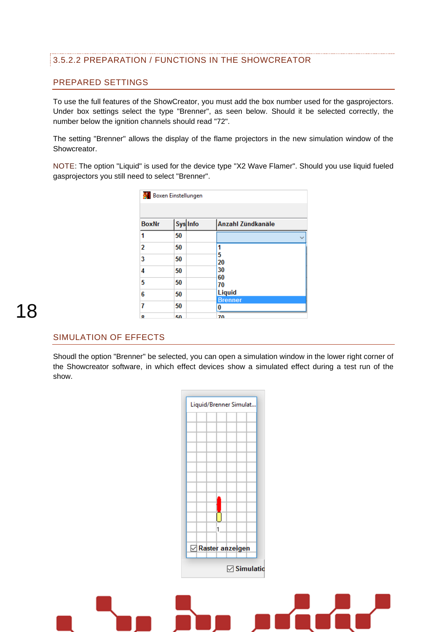#### 3.5.2.2 PREPARATION / FUNCTIONS IN THE SHOWCREATOR

#### PREPARED SETTINGS

To use the full features of the ShowCreator, you must add the box number used for the gasprojectors. Under box settings select the type "Brenner", as seen below. Should it be selected correctly, the number below the ignition channels should read "72".

The setting "Brenner" allows the display of the flame projectors in the new simulation window of the Showcreator.

NOTE: The option "Liquid" is used for the device type "X2 Wave Flamer". Should you use liquid fueled gasprojectors you still need to select "Brenner".

|              | <b>A</b> Boxen Einstellungen |                     |
|--------------|------------------------------|---------------------|
| <b>BoxNr</b> | Sys Info                     | Anzahl Zündkanäle   |
| 1            | 50                           |                     |
| 2            | 50                           |                     |
| 3            | 50                           | 5<br>20             |
| 4            | 50                           | 30                  |
| 5            | 50                           | 60<br>70            |
| 6            | 50                           | Liquid              |
| 7            | 50                           | <b>Brenner</b><br>0 |
| я            | 50                           | 70                  |

### 18

#### SIMULATION OF EFFECTS

Shoudl the option "Brenner" be selected, you can open a simulation window in the lower right corner of the Showcreator software, in which effect devices show a simulated effect during a test run of the show.

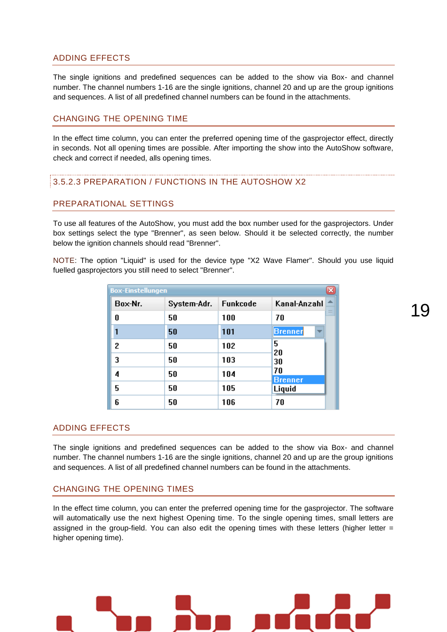#### ADDING EFFECTS

The single ignitions and predefined sequences can be added to the show via Box- and channel number. The channel numbers 1-16 are the single ignitions, channel 20 and up are the group ignitions and sequences. A list of all predefined channel numbers can be found in the attachments.

#### CHANGING THE OPENING TIME

In the effect time column, you can enter the preferred opening time of the gasprojector effect, directly in seconds. Not all opening times are possible. After importing the show into the AutoShow software, check and correct if needed, alls opening times.

#### 3.5.2.3 PREPARATION / FUNCTIONS IN THE AUTOSHOW X2

#### PREPARATIONAL SETTINGS

To use all features of the AutoShow, you must add the box number used for the gasprojectors. Under box settings select the type "Brenner", as seen below. Should it be selected correctly, the number below the ignition channels should read "Brenner".

NOTE: The option "Liquid" is used for the device type "X2 Wave Flamer". Should you use liquid fuelled gasprojectors you still need to select "Brenner".

| <b>Box-Einstellungen</b> |             |          | ×                                          |
|--------------------------|-------------|----------|--------------------------------------------|
| Box-Nr.                  | System-Adr. | Funkcode | Kanal-Anzahl<br>∸                          |
| O                        | 50          | 100      | -<br>70                                    |
|                          | 50          | 101      | <b>Brenner</b><br>$\overline{\phantom{a}}$ |
| 2                        | 50          | 102      | 5<br>20                                    |
| 3                        | 50          | 103      | 30                                         |
| 4                        | 50          | 104      | 70<br><b>Brenner</b>                       |
| 5                        | 50          | 105      | Liquid                                     |
| 6                        | 50          | 106      | 70                                         |

#### ADDING EFFECTS

The single ignitions and predefined sequences can be added to the show via Box- and channel number. The channel numbers 1-16 are the single ignitions, channel 20 and up are the group ignitions and sequences. A list of all predefined channel numbers can be found in the attachments.

#### CHANGING THE OPENING TIMES

In the effect time column, you can enter the preferred opening time for the gasprojector. The software will automatically use the next highest Opening time. To the single opening times, small letters are assigned in the group-field. You can also edit the opening times with these letters (higher letter = higher opening time).

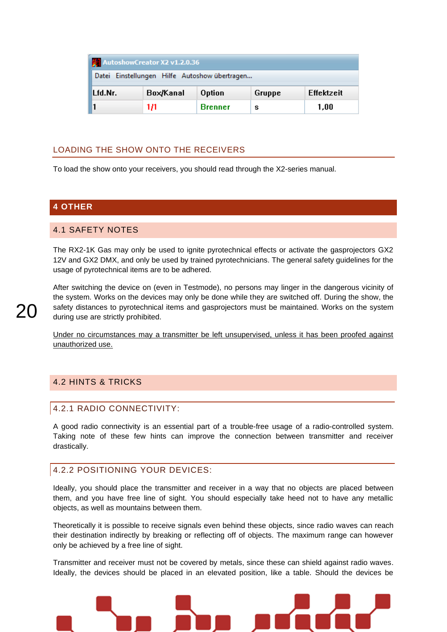| AutoshowCreator X2 v1.2.0.36                  |                                             |                |   |      |  |  |  |
|-----------------------------------------------|---------------------------------------------|----------------|---|------|--|--|--|
| Datei Einstellungen Hilfe Autoshow übertragen |                                             |                |   |      |  |  |  |
| Lfd.Nr.                                       | Box/Kanal<br>Effektzeit<br>Option<br>Gruppe |                |   |      |  |  |  |
|                                               | 1/1                                         | <b>Brenner</b> | s | 1.00 |  |  |  |

#### LOADING THE SHOW ONTO THE RECEIVERS

To load the show onto your receivers, you should read through the X2-series manual.

#### <span id="page-19-0"></span>**4 OTHER**

#### <span id="page-19-1"></span>4.1 SAFETY NOTES

The RX2-1K Gas may only be used to ignite pyrotechnical effects or activate the gasprojectors GX2 12V and GX2 DMX, and only be used by trained pyrotechnicians. The general safety guidelines for the usage of pyrotechnical items are to be adhered.

After switching the device on (even in Testmode), no persons may linger in the dangerous vicinity of the system. Works on the devices may only be done while they are switched off. During the show, the safety distances to pyrotechnical items and gasprojectors must be maintained. Works on the system during use are strictly prohibited.

Under no circumstances may a transmitter be left unsupervised, unless it has been proofed against unauthorized use.

#### <span id="page-19-3"></span><span id="page-19-2"></span>4.2 HINTS & TRICKS

#### 4.2.1 RADIO CONNECTIVITY:

A good radio connectivity is an essential part of a trouble-free usage of a radio-controlled system. Taking note of these few hints can improve the connection between transmitter and receiver drastically.

#### <span id="page-19-4"></span>4.2.2 POSITIONING YOUR DEVICES:

Ideally, you should place the transmitter and receiver in a way that no objects are placed between them, and you have free line of sight. You should especially take heed not to have any metallic objects, as well as mountains between them.

Theoretically it is possible to receive signals even behind these objects, since radio waves can reach their destination indirectly by breaking or reflecting off of objects. The maximum range can however only be achieved by a free line of sight.

Transmitter and receiver must not be covered by metals, since these can shield against radio waves. Ideally, the devices should be placed in an elevated position, like a table. Should the devices be

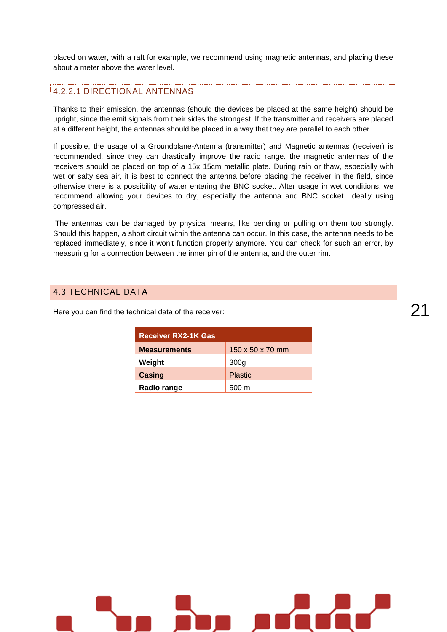placed on water, with a raft for example, we recommend using magnetic antennas, and placing these about a meter above the water level.

#### 4.2.2.1 DIRECTIONAL ANTENNAS

Thanks to their emission, the antennas (should the devices be placed at the same height) should be upright, since the emit signals from their sides the strongest. If the transmitter and receivers are placed at a different height, the antennas should be placed in a way that they are parallel to each other.

If possible, the usage of a Groundplane-Antenna (transmitter) and Magnetic antennas (receiver) is recommended, since they can drastically improve the radio range. the magnetic antennas of the receivers should be placed on top of a 15x 15cm metallic plate. During rain or thaw, especially with wet or salty sea air, it is best to connect the antenna before placing the receiver in the field, since otherwise there is a possibility of water entering the BNC socket. After usage in wet conditions, we recommend allowing your devices to dry, especially the antenna and BNC socket. Ideally using compressed air.

The antennas can be damaged by physical means, like bending or pulling on them too strongly. Should this happen, a short circuit within the antenna can occur. In this case, the antenna needs to be replaced immediately, since it won't function properly anymore. You can check for such an error, by measuring for a connection between the inner pin of the antenna, and the outer rim.

#### <span id="page-20-0"></span>4.3 TECHNICAL DATA

Here you can find the technical data of the receiver:

| <b>Receiver RX2-1K Gas</b> |                  |
|----------------------------|------------------|
| <b>Measurements</b>        | 150 x 50 x 70 mm |
| Weight                     | 300 <sub>g</sub> |
| Casing                     | <b>Plastic</b>   |
| Radio range                | 500 m            |

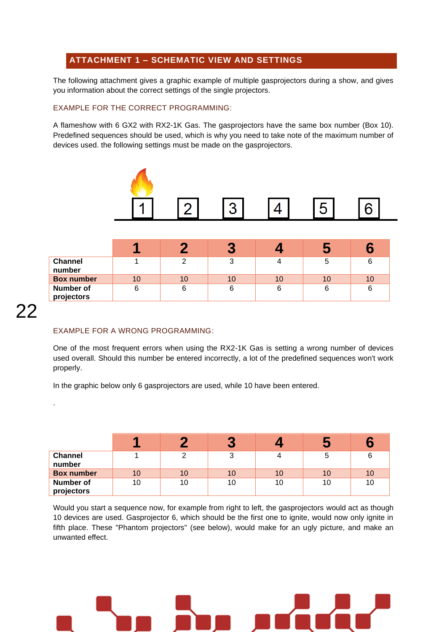#### <span id="page-21-0"></span>**ATTACHMENT 1 – SCHEMATIC VIEW AND SETTINGS**

The following attachment gives a graphic example of multiple gasprojectors during a show, and gives you information about the correct settings of the single projectors.

#### EXAMPLE FOR THE CORRECT PROGRAMMING:

A flameshow with 6 GX2 with RX2-1K Gas. The gasprojectors have the same box number (Box 10). Predefined sequences should be used, which is why you need to take note of the maximum number of devices used. the following settings must be made on the gasprojectors.



|                                | и  |    |    |    |    |    |
|--------------------------------|----|----|----|----|----|----|
| <b>Channel</b><br>number       |    |    | ◠  |    |    | 6  |
| <b>Box number</b>              | 10 | 10 | 10 | 10 | 10 | 10 |
| <b>Number of</b><br>projectors | 6  |    | 6  |    | 6  | 6  |

.

#### EXAMPLE FOR A WRONG PROGRAMMING:

One of the most frequent errors when using the RX2-1K Gas is setting a wrong number of devices used overall. Should this number be entered incorrectly, a lot of the predefined sequences won't work properly.

In the graphic below only 6 gasprojectors are used, while 10 have been entered.

|                          | ×  |    | $\overline{\phantom{a}}$ |    | $\sim$ |    |
|--------------------------|----|----|--------------------------|----|--------|----|
| <b>Channel</b><br>number |    |    | 3                        |    | э      |    |
| <b>Box number</b>        | 10 | 10 | 10                       | 10 | 10     | 10 |
| Number of<br>projectors  | 10 | 10 | 10                       | 10 | 10     | 10 |

Would you start a sequence now, for example from right to left, the gasprojectors would act as though 10 devices are used. Gasprojector 6, which should be the first one to ignite, would now only ignite in fifth place. These "Phantom projectors" (see below), would make for an ugly picture, and make an unwanted effect.

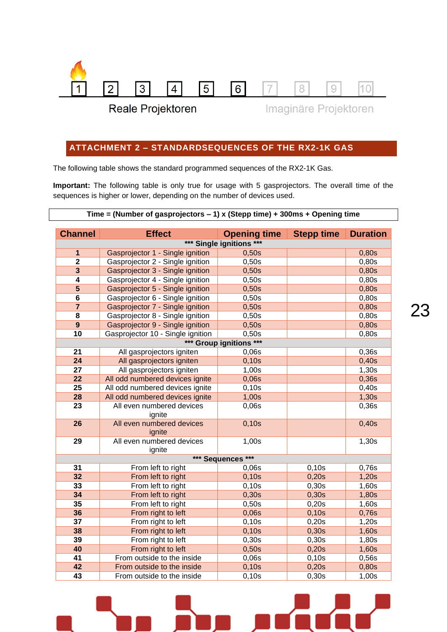

Reale Projektoren

Imaginäre Projektoren

#### <span id="page-22-0"></span>**ATTACHMENT 2 – STANDARDSEQUENCES OF THE RX2-1K GAS**

The following table shows the standard programmed sequences of the RX2-1K Gas.

**Important:** The following table is only true for usage with 5 gasprojectors. The overall time of the sequences is higher or lower, depending on the number of devices used.

| Time = (Number of gasprojectors $-1$ ) x (Stepp time) + 300ms + Opening time |  |  |  |  |  |
|------------------------------------------------------------------------------|--|--|--|--|--|
|                                                                              |  |  |  |  |  |

| <b>Channel</b>          | <b>Effect</b>                       | <b>Opening time</b>      | <b>Stepp time</b> | <b>Duration</b> |
|-------------------------|-------------------------------------|--------------------------|-------------------|-----------------|
|                         |                                     | *** Single ignitions *** |                   |                 |
| $\mathbf{1}$            | Gasprojector 1 - Single ignition    | 0,50s                    |                   | 0,80s           |
| $\overline{\mathbf{2}}$ | Gasprojector 2 - Single ignition    | 0,50s                    |                   | 0,80s           |
| 3                       | Gasprojector 3 - Single ignition    | 0,50s                    |                   | 0,80s           |
| $\overline{\mathbf{4}}$ | Gasprojector 4 - Single ignition    | 0,50s                    |                   | 0,80s           |
| $\overline{\mathbf{5}}$ | Gasprojector 5 - Single ignition    | 0,50s                    |                   | 0,80s           |
| $6\phantom{1}$          | Gasprojector 6 - Single ignition    | 0,50s                    |                   | 0,80s           |
| $\overline{7}$          | Gasprojector 7 - Single ignition    | 0,50s                    |                   | 0,80s           |
| 8                       | Gasprojector 8 - Single ignition    | 0,50s                    |                   | 0,80s           |
| $\boldsymbol{9}$        | Gasprojector 9 - Single ignition    | 0,50s                    |                   | 0,80s           |
| 10                      | Gasprojector 10 - Single ignition   | 0,50s                    |                   | 0,80s           |
|                         |                                     | *** Group ignitions ***  |                   |                 |
| 21                      | All gasprojectors igniten           | 0,06s                    |                   | 0,36s           |
| 24                      | All gasprojectors igniten           | 0,10s                    |                   | 0,40s           |
| 27                      | All gasprojectors igniten           | 1,00s                    |                   | 1,30s           |
| 22                      | All odd numbered devices ignite     | 0,06s                    |                   | 0,36s           |
| 25                      | All odd numbered devices ignite     | 0,10s                    |                   | 0,40s           |
| 28                      | All odd numbered devices ignite     | 1,00s                    |                   | 1,30s           |
| 23                      | All even numbered devices<br>ignite | 0,06s                    |                   | 0,36s           |
| 26                      | All even numbered devices           | 0,10s                    |                   | 0,40s           |
|                         | ignite                              |                          |                   |                 |
| 29                      | All even numbered devices           | 1,00s                    |                   | 1,30s           |
|                         | ignite                              | *** Sequences ***        |                   |                 |
| 31                      | From left to right                  | 0,06s                    | 0,10s             | 0,76s           |
| 32                      | From left to right                  | 0,10s                    | 0,20s             | 1,20s           |
| 33                      | From left to right                  | 0,10s                    | 0,30s             | 1,60s           |
| 34                      | From left to right                  | 0,30s                    | 0,30s             | 1,80s           |
| 35                      | From left to right                  | 0,50s                    | 0,20s             | 1,60s           |
| 36                      | From right to left                  | 0,06s                    | 0,10s             | 0,76s           |
| 37                      | From right to left                  | 0,10s                    | 0,20s             | 1,20s           |
| 38                      | From right to left                  | 0,10s                    | 0,30s             | 1,60s           |
| 39                      | From right to left                  | 0,30s                    | 0,30s             | 1,80s           |
| 40                      | From right to left                  | 0,50s                    | 0,20s             | 1,60s           |
| 41                      | From outside to the inside          | 0,06s                    | 0,10s             | 0,56s           |
| 42                      | From outside to the inside          | 0,10s                    | 0,20s             | 0,80s           |
| 43                      | From outside to the inside          | 0,10s                    | 0,30s             | 1,00s           |



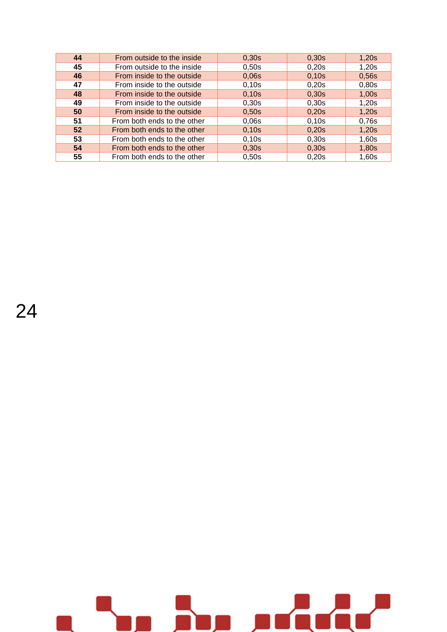| 44 | From outside to the inside  | 0.30s | 0,30s | 1,20s |
|----|-----------------------------|-------|-------|-------|
| 45 | From outside to the inside  | 0,50s | 0,20s | 1,20s |
| 46 | From inside to the outside  | 0,06s | 0,10s | 0,56s |
| 47 | From inside to the outside  | 0,10s | 0,20s | 0,80s |
| 48 | From inside to the outside  | 0,10s | 0,30s | 1,00s |
| 49 | From inside to the outside  | 0,30s | 0,30s | 1,20s |
| 50 | From inside to the outside  | 0,50s | 0,20s | 1,20s |
| 51 | From both ends to the other | 0,06s | 0,10s | 0,76s |
| 52 | From both ends to the other | 0,10s | 0,20s | 1,20s |
| 53 | From both ends to the other | 0,10s | 0,30s | 1,60s |
| 54 | From both ends to the other | 0,30s | 0,30s | 1,80s |
| 55 | From both ends to the other | 0,50s | 0.20s | 1,60s |